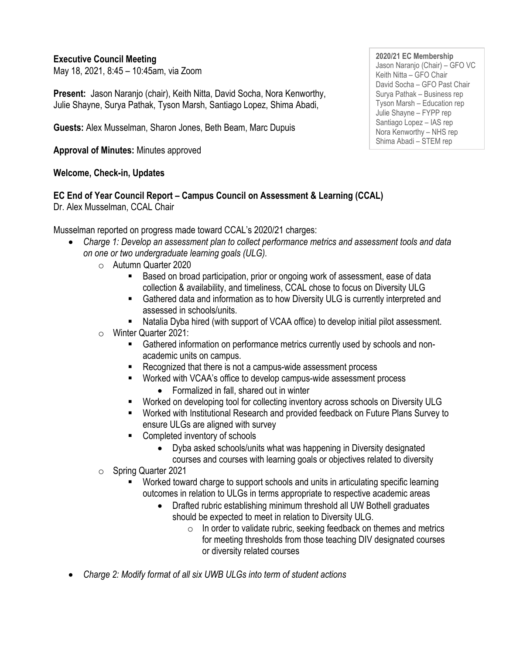### **Executive Council Meeting**

May 18, 2021, 8:45 – 10:45am, via Zoom

**Present:** Jason Naranjo (chair), Keith Nitta, David Socha, Nora Kenworthy, Julie Shayne, Surya Pathak, Tyson Marsh, Santiago Lopez, Shima Abadi,

**Guests:** Alex Musselman, Sharon Jones, Beth Beam, Marc Dupuis

**Approval of Minutes:** Minutes approved

### **Welcome, Check-in, Updates**

# **EC End of Year Council Report – Campus Council on Assessment & Learning (CCAL)**

Dr. Alex Musselman, CCAL Chair

Musselman reported on progress made toward CCAL's 2020/21 charges:

- *Charge 1: Develop an assessment plan to collect performance metrics and assessment tools and data on one or two undergraduate learning goals (ULG).* 
	- o Autumn Quarter 2020
		- Based on broad participation, prior or ongoing work of assessment, ease of data collection & availability, and timeliness, CCAL chose to focus on Diversity ULG
		- Gathered data and information as to how Diversity ULG is currently interpreted and assessed in schools/units.
		- Natalia Dyba hired (with support of VCAA office) to develop initial pilot assessment.

### o Winter Quarter 2021:

- Gathered information on performance metrics currently used by schools and nonacademic units on campus.
- Recognized that there is not a campus-wide assessment process
- Worked with VCAA's office to develop campus-wide assessment process • Formalized in fall, shared out in winter
- Worked on developing tool for collecting inventory across schools on Diversity ULG
- Worked with Institutional Research and provided feedback on Future Plans Survey to ensure ULGs are aligned with survey
- Completed inventory of schools
	- Dyba asked schools/units what was happening in Diversity designated courses and courses with learning goals or objectives related to diversity
- o Spring Quarter 2021
	- Worked toward charge to support schools and units in articulating specific learning outcomes in relation to ULGs in terms appropriate to respective academic areas
		- Drafted rubric establishing minimum threshold all UW Bothell graduates should be expected to meet in relation to Diversity ULG.
			- $\circ$  In order to validate rubric, seeking feedback on themes and metrics for meeting thresholds from those teaching DIV designated courses or diversity related courses
- *Charge 2: Modify format of all six UWB ULGs into term of student actions*

**2020/21 EC Membership** Jason Naranjo (Chair) – GFO VC Keith Nitta – GFO Chair David Socha – GFO Past Chair Surya Pathak – Business rep Tyson Marsh – Education rep Julie Shayne – FYPP rep Santiago Lopez – IAS rep Nora Kenworthy – NHS rep Shima Abadi – STEM rep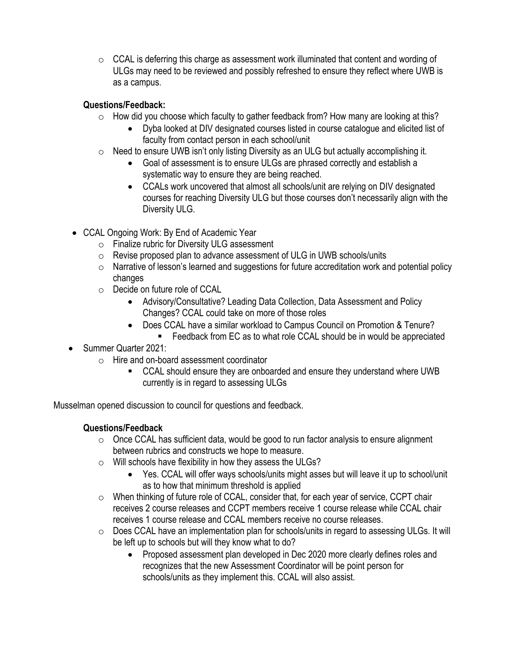$\circ$  CCAL is deferring this charge as assessment work illuminated that content and wording of ULGs may need to be reviewed and possibly refreshed to ensure they reflect where UWB is as a campus.

# **Questions/Feedback:**

- o How did you choose which faculty to gather feedback from? How many are looking at this?
	- Dyba looked at DIV designated courses listed in course catalogue and elicited list of faculty from contact person in each school/unit
- $\circ$  Need to ensure UWB isn't only listing Diversity as an ULG but actually accomplishing it.
	- Goal of assessment is to ensure ULGs are phrased correctly and establish a systematic way to ensure they are being reached.
	- CCALs work uncovered that almost all schools/unit are relying on DIV designated courses for reaching Diversity ULG but those courses don't necessarily align with the Diversity ULG.
- CCAL Ongoing Work: By End of Academic Year
	- o Finalize rubric for Diversity ULG assessment
	- o Revise proposed plan to advance assessment of ULG in UWB schools/units
	- o Narrative of lesson's learned and suggestions for future accreditation work and potential policy changes
	- o Decide on future role of CCAL
		- Advisory/Consultative? Leading Data Collection, Data Assessment and Policy Changes? CCAL could take on more of those roles
		- Does CCAL have a similar workload to Campus Council on Promotion & Tenure?
			- Feedback from EC as to what role CCAL should be in would be appreciated
- Summer Quarter 2021:
	- o Hire and on-board assessment coordinator
		- CCAL should ensure they are onboarded and ensure they understand where UWB currently is in regard to assessing ULGs

Musselman opened discussion to council for questions and feedback.

# **Questions/Feedback**

- $\circ$  Once CCAL has sufficient data, would be good to run factor analysis to ensure alignment between rubrics and constructs we hope to measure.
- o Will schools have flexibility in how they assess the ULGs?
	- Yes. CCAL will offer ways schools/units might asses but will leave it up to school/unit as to how that minimum threshold is applied
- o When thinking of future role of CCAL, consider that, for each year of service, CCPT chair receives 2 course releases and CCPT members receive 1 course release while CCAL chair receives 1 course release and CCAL members receive no course releases.
- o Does CCAL have an implementation plan for schools/units in regard to assessing ULGs. It will be left up to schools but will they know what to do?
	- Proposed assessment plan developed in Dec 2020 more clearly defines roles and recognizes that the new Assessment Coordinator will be point person for schools/units as they implement this. CCAL will also assist.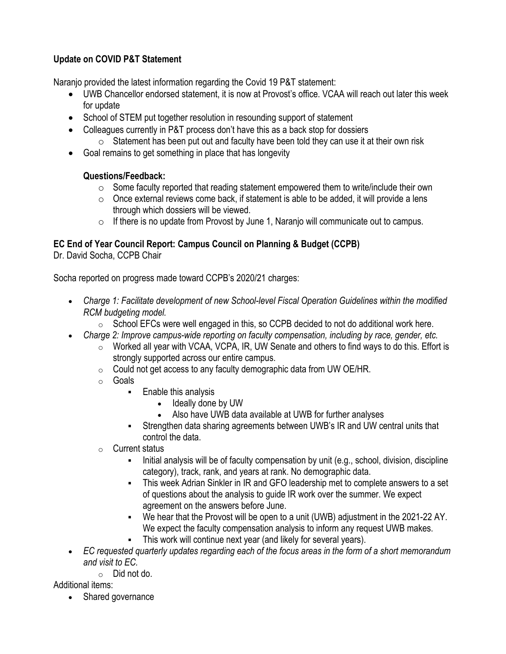### **Update on COVID P&T Statement**

Naranjo provided the latest information regarding the Covid 19 P&T statement:

- UWB Chancellor endorsed statement, it is now at Provost's office. VCAA will reach out later this week for update
- School of STEM put together resolution in resounding support of statement
- Colleagues currently in P&T process don't have this as a back stop for dossiers
	- $\circ$  Statement has been put out and faculty have been told they can use it at their own risk
- Goal remains to get something in place that has longevity

# **Questions/Feedback:**

- $\circ$  Some faculty reported that reading statement empowered them to write/include their own
- $\circ$  Once external reviews come back, if statement is able to be added, it will provide a lens through which dossiers will be viewed.
- $\circ$  If there is no update from Provost by June 1, Naranjo will communicate out to campus.

# **EC End of Year Council Report: Campus Council on Planning & Budget (CCPB)**

Dr. David Socha, CCPB Chair

Socha reported on progress made toward CCPB's 2020/21 charges:

- *Charge 1: Facilitate development of new School-level Fiscal Operation Guidelines within the modified RCM budgeting model.*
	- o School EFCs were well engaged in this, so CCPB decided to not do additional work here.
- *Charge 2: Improve campus-wide reporting on faculty compensation, including by race, gender, etc.*
	- o Worked all year with VCAA, VCPA, IR, UW Senate and others to find ways to do this. Effort is strongly supported across our entire campus.
	- $\circ$  Could not get access to any faculty demographic data from UW OE/HR.
	- o Goals
		- **Enable this analysis** 
			- Ideally done by UW
			- Also have UWB data available at UWB for further analyses
		- **EXECT** Strengthen data sharing agreements between UWB's IR and UW central units that control the data.
	- o Current status
		- Initial analysis will be of faculty compensation by unit (e.g., school, division, discipline category), track, rank, and years at rank. No demographic data.
		- **This week Adrian Sinkler in IR and GFO leadership met to complete answers to a set** of questions about the analysis to guide IR work over the summer. We expect agreement on the answers before June.
		- We hear that the Provost will be open to a unit (UWB) adjustment in the 2021-22 AY. We expect the faculty compensation analysis to inform any request UWB makes.
		- **EXECT** This work will continue next year (and likely for several years).
- *EC requested quarterly updates regarding each of the focus areas in the form of a short memorandum and visit to EC.*
	- $\circ$  Did not do.

### Additional items:

• Shared governance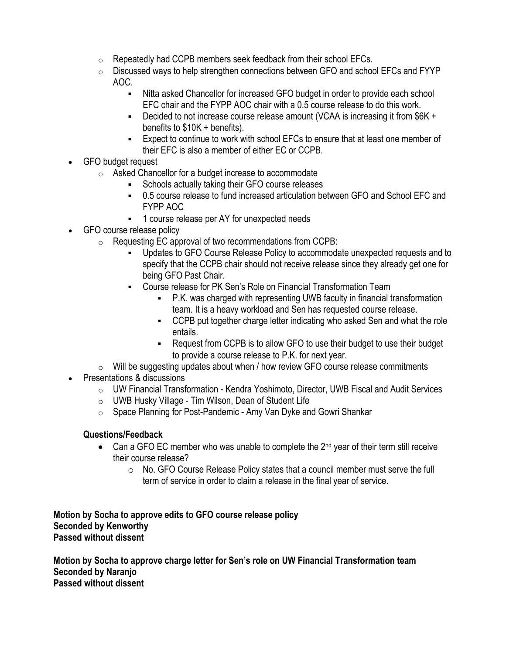- o Repeatedly had CCPB members seek feedback from their school EFCs.
- $\circ$  Discussed ways to help strengthen connections between GFO and school EFCs and FYYP AOC.
	- Nitta asked Chancellor for increased GFO budget in order to provide each school EFC chair and the FYPP AOC chair with a 0.5 course release to do this work.
	- Decided to not increase course release amount (VCAA is increasing it from \$6K + benefits to \$10K + benefits).
	- **Expect to continue to work with school EFCs to ensure that at least one member of** their EFC is also a member of either EC or CCPB.
- GFO budget request
	- o Asked Chancellor for a budget increase to accommodate
		- **EXEC** Schools actually taking their GFO course releases
		- 0.5 course release to fund increased articulation between GFO and School EFC and FYPP AOC
		- 1 course release per AY for unexpected needs
- GFO course release policy
	- o Requesting EC approval of two recommendations from CCPB:
		- Updates to GFO Course Release Policy to accommodate unexpected requests and to specify that the CCPB chair should not receive release since they already get one for being GFO Past Chair.
		- Course release for PK Sen's Role on Financial Transformation Team
			- P.K. was charged with representing UWB faculty in financial transformation team. It is a heavy workload and Sen has requested course release.
			- CCPB put together charge letter indicating who asked Sen and what the role entails.
			- Request from CCPB is to allow GFO to use their budget to use their budget to provide a course release to P.K. for next year.
	- $\circ$  Will be suggesting updates about when / how review GFO course release commitments
- Presentations & discussions
	- $\circ$  UW Financial Transformation Kendra Yoshimoto, Director, UWB Fiscal and Audit Services
	- o UWB Husky Village Tim Wilson, Dean of Student Life
	- o Space Planning for Post-Pandemic Amy Van Dyke and Gowri Shankar

#### **Questions/Feedback**

- Can a GFO EC member who was unable to complete the  $2^{nd}$  year of their term still receive their course release?
	- o No. GFO Course Release Policy states that a council member must serve the full term of service in order to claim a release in the final year of service.

**Motion by Socha to approve edits to GFO course release policy Seconded by Kenworthy Passed without dissent** 

**Motion by Socha to approve charge letter for Sen's role on UW Financial Transformation team Seconded by Naranjo Passed without dissent**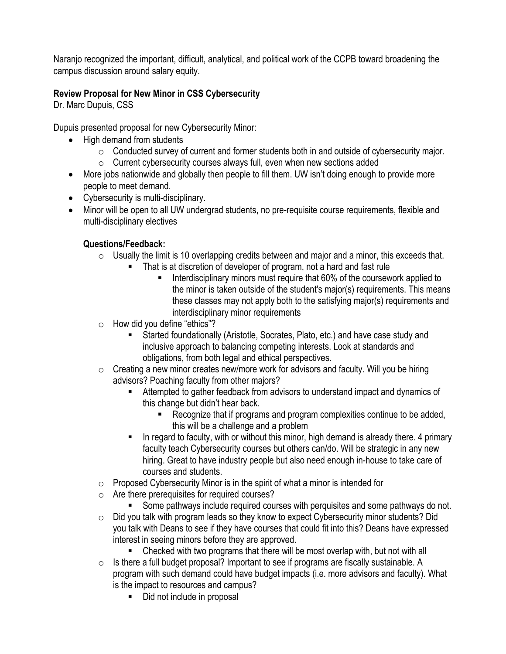Naranjo recognized the important, difficult, analytical, and political work of the CCPB toward broadening the campus discussion around salary equity.

# **Review Proposal for New Minor in CSS Cybersecurity**

Dr. Marc Dupuis, CSS

Dupuis presented proposal for new Cybersecurity Minor:

- High demand from students
	- $\circ$  Conducted survey of current and former students both in and outside of cybersecurity major.
	- o Current cybersecurity courses always full, even when new sections added
- More jobs nationwide and globally then people to fill them. UW isn't doing enough to provide more people to meet demand.
- Cybersecurity is multi-disciplinary.
- Minor will be open to all UW undergrad students, no pre-requisite course requirements, flexible and multi-disciplinary electives

# **Questions/Feedback:**

- $\circ$  Usually the limit is 10 overlapping credits between and major and a minor, this exceeds that.
	- That is at discretion of developer of program, not a hard and fast rule
		- Interdisciplinary minors must require that 60% of the coursework applied to the minor is taken outside of the student's major(s) requirements. This means these classes may not apply both to the satisfying major(s) requirements and interdisciplinary minor requirements
- o How did you define "ethics"?
	- Started foundationally (Aristotle, Socrates, Plato, etc.) and have case study and inclusive approach to balancing competing interests. Look at standards and obligations, from both legal and ethical perspectives.
- $\circ$  Creating a new minor creates new/more work for advisors and faculty. Will you be hiring advisors? Poaching faculty from other majors?
	- Attempted to gather feedback from advisors to understand impact and dynamics of this change but didn't hear back.
		- Recognize that if programs and program complexities continue to be added, this will be a challenge and a problem
	- In regard to faculty, with or without this minor, high demand is already there. 4 primary faculty teach Cybersecurity courses but others can/do. Will be strategic in any new hiring. Great to have industry people but also need enough in-house to take care of courses and students.
- $\circ$  Proposed Cybersecurity Minor is in the spirit of what a minor is intended for
- o Are there prerequisites for required courses?
	- **EX Some pathways include required courses with perquisites and some pathways do not.**
- o Did you talk with program leads so they know to expect Cybersecurity minor students? Did you talk with Deans to see if they have courses that could fit into this? Deans have expressed interest in seeing minors before they are approved.
	- Checked with two programs that there will be most overlap with, but not with all
- o Is there a full budget proposal? Important to see if programs are fiscally sustainable. A program with such demand could have budget impacts (i.e. more advisors and faculty). What is the impact to resources and campus?
	- Did not include in proposal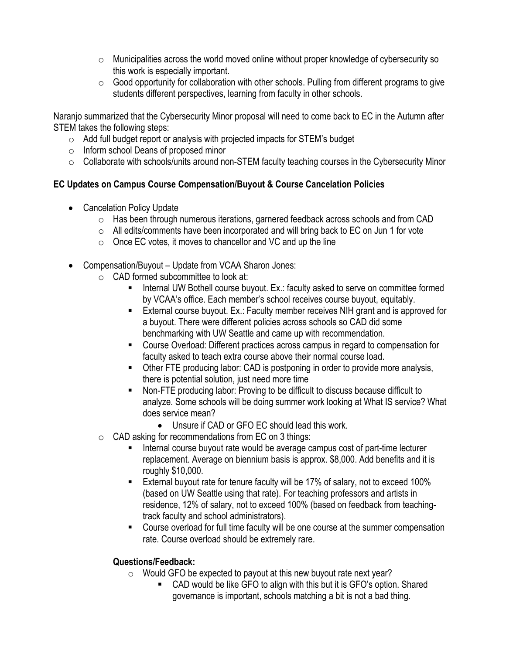- $\circ$  Municipalities across the world moved online without proper knowledge of cybersecurity so this work is especially important.
- $\circ$  Good opportunity for collaboration with other schools. Pulling from different programs to give students different perspectives, learning from faculty in other schools.

Naranjo summarized that the Cybersecurity Minor proposal will need to come back to EC in the Autumn after STEM takes the following steps:

- $\circ$  Add full budget report or analysis with projected impacts for STEM's budget
- o Inform school Deans of proposed minor
- $\circ$  Collaborate with schools/units around non-STEM faculty teaching courses in the Cybersecurity Minor

### **EC Updates on Campus Course Compensation/Buyout & Course Cancelation Policies**

- Cancelation Policy Update
	- $\circ$  Has been through numerous iterations, garnered feedback across schools and from CAD
	- $\circ$  All edits/comments have been incorporated and will bring back to EC on Jun 1 for vote
	- $\circ$  Once EC votes, it moves to chancellor and VC and up the line
- Compensation/Buyout Update from VCAA Sharon Jones:
	- $\circ$  CAD formed subcommittee to look at:
		- Internal UW Bothell course buyout. Ex.: faculty asked to serve on committee formed by VCAA's office. Each member's school receives course buyout, equitably.
		- External course buyout. Ex.: Faculty member receives NIH grant and is approved for a buyout. There were different policies across schools so CAD did some benchmarking with UW Seattle and came up with recommendation.
		- Course Overload: Different practices across campus in regard to compensation for faculty asked to teach extra course above their normal course load.
		- **Other FTE producing labor: CAD is postponing in order to provide more analysis,** there is potential solution, just need more time
		- Non-FTE producing labor: Proving to be difficult to discuss because difficult to analyze. Some schools will be doing summer work looking at What IS service? What does service mean?
			- Unsure if CAD or GFO EC should lead this work.
	- o CAD asking for recommendations from EC on 3 things:
		- Internal course buyout rate would be average campus cost of part-time lecturer replacement. Average on biennium basis is approx. \$8,000. Add benefits and it is roughly \$10,000.
		- External buyout rate for tenure faculty will be 17% of salary, not to exceed 100% (based on UW Seattle using that rate). For teaching professors and artists in residence, 12% of salary, not to exceed 100% (based on feedback from teachingtrack faculty and school administrators).
		- Course overload for full time faculty will be one course at the summer compensation rate. Course overload should be extremely rare.

#### **Questions/Feedback:**

- $\circ$  Would GFO be expected to payout at this new buyout rate next year?
	- CAD would be like GFO to align with this but it is GFO's option. Shared governance is important, schools matching a bit is not a bad thing.